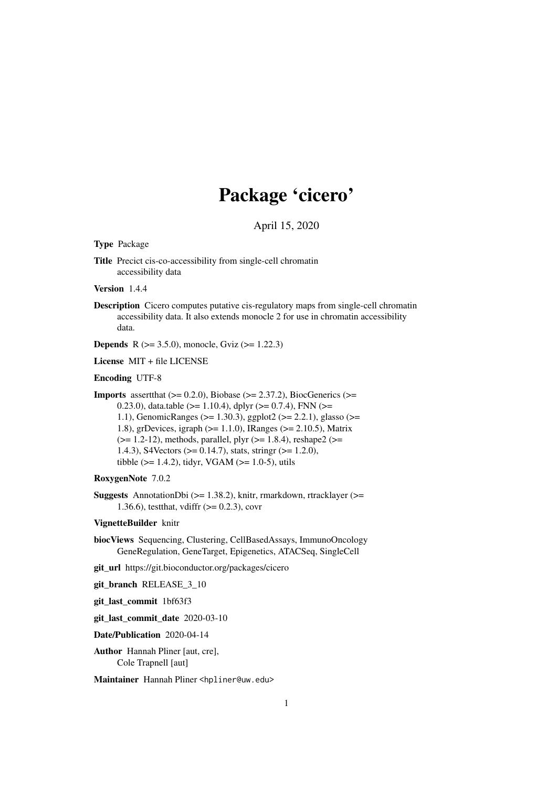## Package 'cicero'

April 15, 2020

<span id="page-0-0"></span>Type Package

Title Precict cis-co-accessibility from single-cell chromatin accessibility data

Version 1.4.4

Description Cicero computes putative cis-regulatory maps from single-cell chromatin accessibility data. It also extends monocle 2 for use in chromatin accessibility data.

**Depends** R  $(>= 3.5.0)$ , monocle, Gviz  $(>= 1.22.3)$ 

License MIT + file LICENSE

Encoding UTF-8

**Imports** assert that  $(>= 0.2.0)$ , Biobase  $(>= 2.37.2)$ , BiocGenerics  $(>= 1.25.2)$ 0.23.0), data.table ( $>= 1.10.4$ ), dplyr ( $>= 0.7.4$ ), FNN ( $>= 0.73.6$ ) 1.1), GenomicRanges (>= 1.30.3), ggplot2 (>= 2.2.1), glasso (>= 1.8), grDevices, igraph (>= 1.1.0), IRanges (>= 2.10.5), Matrix  $(>= 1.2-12)$ , methods, parallel, plyr  $(>= 1.8.4)$ , reshape2  $(>= 1.2-12)$ 1.4.3), S4Vectors (>= 0.14.7), stats, stringr (>= 1.2.0), tibble ( $> = 1.4.2$ ), tidyr, VGAM ( $> = 1.0-5$ ), utils

RoxygenNote 7.0.2

Suggests AnnotationDbi (>= 1.38.2), knitr, rmarkdown, rtracklayer (>= 1.36.6), testthat, vdiffr (>= 0.2.3), covr

#### VignetteBuilder knitr

biocViews Sequencing, Clustering, CellBasedAssays, ImmunoOncology GeneRegulation, GeneTarget, Epigenetics, ATACSeq, SingleCell

git\_url https://git.bioconductor.org/packages/cicero

git\_branch RELEASE\_3\_10

git\_last\_commit 1bf63f3

git\_last\_commit\_date 2020-03-10

Date/Publication 2020-04-14

Author Hannah Pliner [aut, cre], Cole Trapnell [aut]

Maintainer Hannah Pliner <hpliner@uw.edu>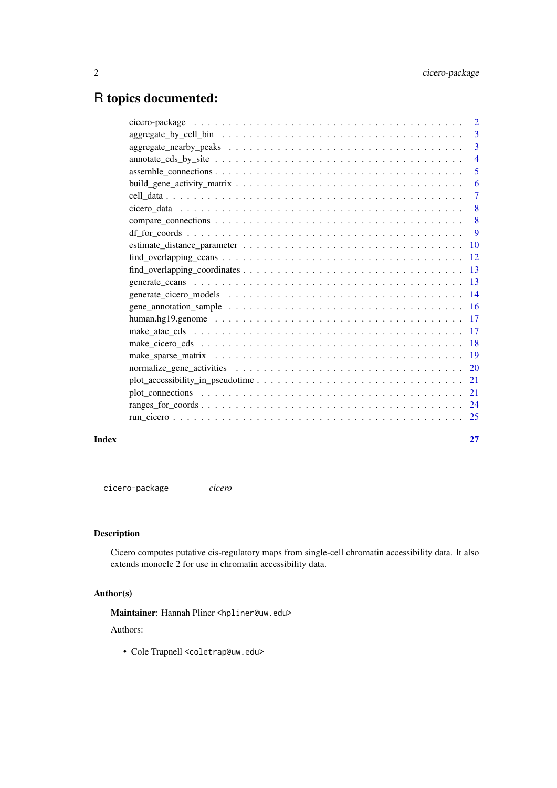## <span id="page-1-0"></span>R topics documented:

|       |                                                                                                                                              | -3 |
|-------|----------------------------------------------------------------------------------------------------------------------------------------------|----|
|       |                                                                                                                                              |    |
|       |                                                                                                                                              | 5  |
|       |                                                                                                                                              |    |
|       |                                                                                                                                              |    |
|       |                                                                                                                                              |    |
|       |                                                                                                                                              |    |
|       |                                                                                                                                              |    |
|       |                                                                                                                                              |    |
|       |                                                                                                                                              |    |
|       | $find\_overlapping\_coordinates \dots \dots \dots \dots \dots \dots \dots \dots \dots \dots \dots \dots \dots \dots \dots \dots \dots \dots$ |    |
|       |                                                                                                                                              |    |
|       |                                                                                                                                              |    |
|       |                                                                                                                                              |    |
|       |                                                                                                                                              |    |
|       |                                                                                                                                              |    |
|       |                                                                                                                                              |    |
|       |                                                                                                                                              |    |
|       |                                                                                                                                              |    |
|       |                                                                                                                                              |    |
|       |                                                                                                                                              |    |
|       |                                                                                                                                              |    |
|       |                                                                                                                                              |    |
| Index |                                                                                                                                              | 27 |

cicero-package *cicero*

## Description

Cicero computes putative cis-regulatory maps from single-cell chromatin accessibility data. It also extends monocle 2 for use in chromatin accessibility data.

## Author(s)

Maintainer: Hannah Pliner <hpliner@uw.edu>

## Authors:

• Cole Trapnell <coletrap@uw.edu>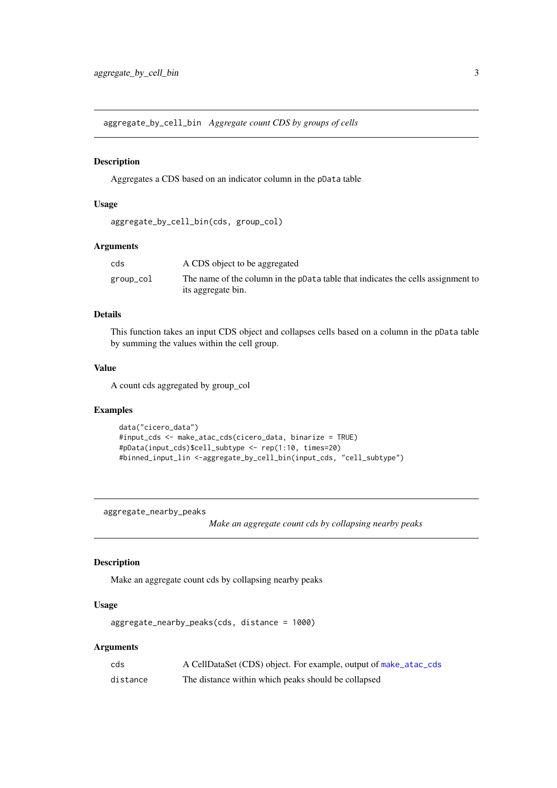<span id="page-2-0"></span>aggregate\_by\_cell\_bin *Aggregate count CDS by groups of cells*

### Description

Aggregates a CDS based on an indicator column in the pData table

## Usage

```
aggregate_by_cell_bin(cds, group_col)
```
#### Arguments

| cds       | A CDS object to be aggregated                                                                          |
|-----------|--------------------------------------------------------------------------------------------------------|
| group_col | The name of the column in the pData table that indicates the cells assignment to<br>its aggregate bin. |

## Details

This function takes an input CDS object and collapses cells based on a column in the pData table by summing the values within the cell group.

## Value

A count cds aggregated by group\_col

## Examples

```
data("cicero_data")
#input_cds <- make_atac_cds(cicero_data, binarize = TRUE)
#pData(input_cds)$cell_subtype <- rep(1:10, times=20)
#binned_input_lin <-aggregate_by_cell_bin(input_cds, "cell_subtype")
```
aggregate\_nearby\_peaks

*Make an aggregate count cds by collapsing nearby peaks*

## Description

Make an aggregate count cds by collapsing nearby peaks

## Usage

```
aggregate_nearby_peaks(cds, distance = 1000)
```

| cds      | A CellDataSet (CDS) object. For example, output of make_atac_cds |
|----------|------------------------------------------------------------------|
| distance | The distance within which peaks should be collapsed              |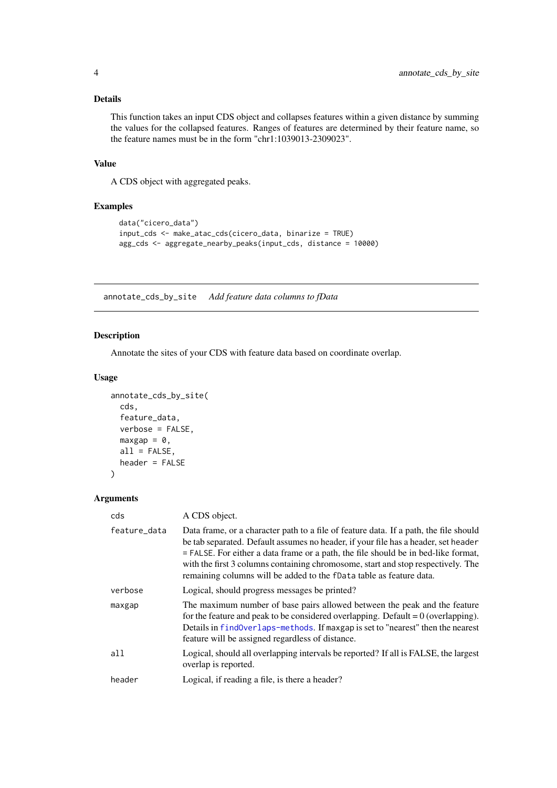## <span id="page-3-0"></span>Details

This function takes an input CDS object and collapses features within a given distance by summing the values for the collapsed features. Ranges of features are determined by their feature name, so the feature names must be in the form "chr1:1039013-2309023".

## Value

A CDS object with aggregated peaks.

## Examples

```
data("cicero_data")
input_cds <- make_atac_cds(cicero_data, binarize = TRUE)
agg_cds <- aggregate_nearby_peaks(input_cds, distance = 10000)
```
annotate\_cds\_by\_site *Add feature data columns to fData*

## Description

Annotate the sites of your CDS with feature data based on coordinate overlap.

## Usage

```
annotate_cds_by_site(
  cds,
  feature_data,
  verbose = FALSE,
  maxgap = 0,
  all = FALSE,header = FALSE
)
```

| cds          | A CDS object.                                                                                                                                                                                                                                                                                                                                                                                                                  |
|--------------|--------------------------------------------------------------------------------------------------------------------------------------------------------------------------------------------------------------------------------------------------------------------------------------------------------------------------------------------------------------------------------------------------------------------------------|
| feature_data | Data frame, or a character path to a file of feature data. If a path, the file should<br>be tab separated. Default assumes no header, if your file has a header, set header<br>$=$ FALSE. For either a data frame or a path, the file should be in bed-like format,<br>with the first 3 columns containing chromosome, start and stop respectively. The<br>remaining columns will be added to the fData table as feature data. |
| verbose      | Logical, should progress messages be printed?                                                                                                                                                                                                                                                                                                                                                                                  |
| maxgap       | The maximum number of base pairs allowed between the peak and the feature<br>for the feature and peak to be considered overlapping. Default $= 0$ (overlapping).<br>Details in findOverlaps-methods. If maxgap is set to "nearest" then the nearest<br>feature will be assigned regardless of distance.                                                                                                                        |
| all          | Logical, should all overlapping intervals be reported? If all is FALSE, the largest<br>overlap is reported.                                                                                                                                                                                                                                                                                                                    |
| header       | Logical, if reading a file, is there a header?                                                                                                                                                                                                                                                                                                                                                                                 |
|              |                                                                                                                                                                                                                                                                                                                                                                                                                                |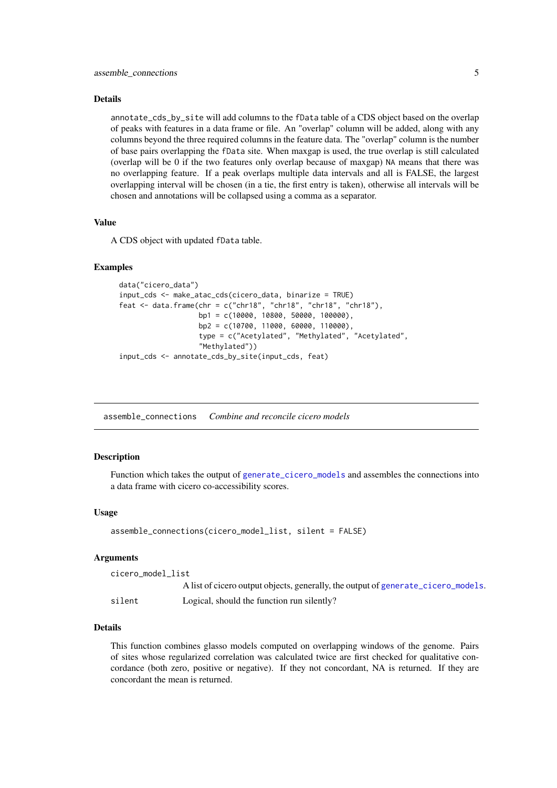#### <span id="page-4-0"></span>Details

annotate\_cds\_by\_site will add columns to the fData table of a CDS object based on the overlap of peaks with features in a data frame or file. An "overlap" column will be added, along with any columns beyond the three required columns in the feature data. The "overlap" column is the number of base pairs overlapping the fData site. When maxgap is used, the true overlap is still calculated (overlap will be 0 if the two features only overlap because of maxgap) NA means that there was no overlapping feature. If a peak overlaps multiple data intervals and all is FALSE, the largest overlapping interval will be chosen (in a tie, the first entry is taken), otherwise all intervals will be chosen and annotations will be collapsed using a comma as a separator.

#### Value

A CDS object with updated fData table.

#### Examples

```
data("cicero_data")
input_cds <- make_atac_cds(cicero_data, binarize = TRUE)
feat <- data.frame(chr = c("chr18", "chr18", "chr18", "chr18"),
                   bp1 = c(10000, 10800, 50000, 100000),
                   bp2 = c(10700, 11000, 60000, 110000),
                   type = c("Acetylated", "Methylated", "Acetylated",
                   "Methylated"))
input_cds <- annotate_cds_by_site(input_cds, feat)
```
<span id="page-4-1"></span>assemble\_connections *Combine and reconcile cicero models*

#### **Description**

Function which takes the output of [generate\\_cicero\\_models](#page-13-1) and assembles the connections into a data frame with cicero co-accessibility scores.

#### Usage

```
assemble_connections(cicero_model_list, silent = FALSE)
```
#### Arguments

cicero\_model\_list A list of cicero output objects, generally, the output of [generate\\_cicero\\_models](#page-13-1). silent Logical, should the function run silently?

#### Details

This function combines glasso models computed on overlapping windows of the genome. Pairs of sites whose regularized correlation was calculated twice are first checked for qualitative concordance (both zero, positive or negative). If they not concordant, NA is returned. If they are concordant the mean is returned.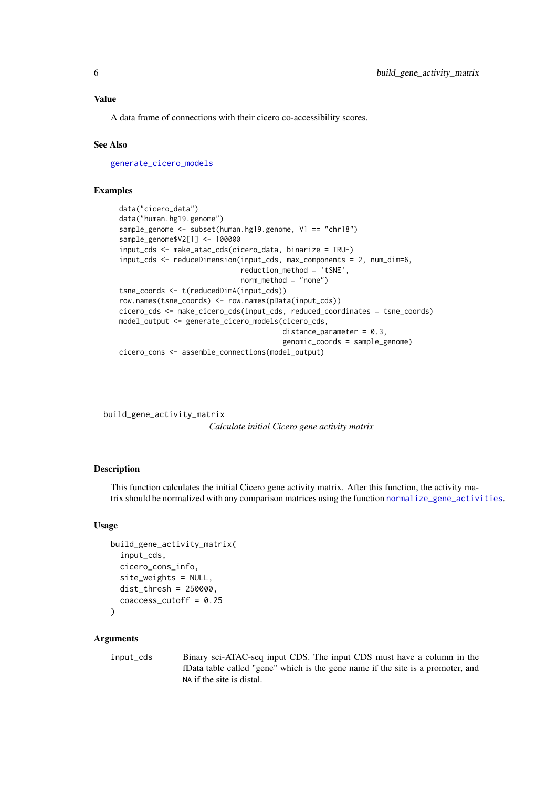<span id="page-5-0"></span>A data frame of connections with their cicero co-accessibility scores.

## See Also

[generate\\_cicero\\_models](#page-13-1)

#### Examples

```
data("cicero_data")
data("human.hg19.genome")
sample_genome <- subset(human.hg19.genome, V1 == "chr18")
sample_genome$V2[1] <- 100000
input_cds <- make_atac_cds(cicero_data, binarize = TRUE)
input_cds <- reduceDimension(input_cds, max_components = 2, num_dim=6,
                             reduction_method = 'tSNE',
                             norm_method = "none")
tsne_coords <- t(reducedDimA(input_cds))
row.names(tsne_coords) <- row.names(pData(input_cds))
cicero_cds <- make_cicero_cds(input_cds, reduced_coordinates = tsne_coords)
model_output <- generate_cicero_models(cicero_cds,
                                       distance_parameter = 0.3,
                                       genomic_coords = sample_genome)
cicero_cons <- assemble_connections(model_output)
```
<span id="page-5-1"></span>build\_gene\_activity\_matrix

*Calculate initial Cicero gene activity matrix*

## Description

This function calculates the initial Cicero gene activity matrix. After this function, the activity matrix should be normalized with any comparison matrices using the function [normalize\\_gene\\_activities](#page-19-1).

#### Usage

```
build_gene_activity_matrix(
  input_cds,
  cicero_cons_info,
  site_weights = NULL,
  dist_thresh = 250000,
  coaccess_cutoff = 0.25
)
```
## Arguments

input\_cds Binary sci-ATAC-seq input CDS. The input CDS must have a column in the fData table called "gene" which is the gene name if the site is a promoter, and NA if the site is distal.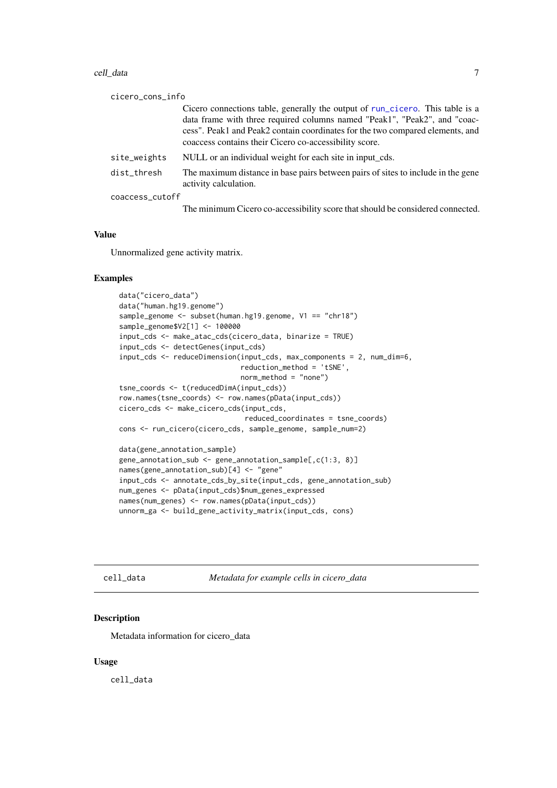#### <span id="page-6-0"></span>cell\_data 7

| cicero_cons_info |                                                                                                                                                                                                                                                                                                       |
|------------------|-------------------------------------------------------------------------------------------------------------------------------------------------------------------------------------------------------------------------------------------------------------------------------------------------------|
|                  | Cicero connections table, generally the output of run_cicero. This table is a<br>data frame with three required columns named "Peak1", "Peak2", and "coac-<br>cess". Peak1 and Peak2 contain coordinates for the two compared elements, and<br>coaccess contains their Cicero co-accessibility score. |
| site_weights     | NULL or an individual weight for each site in input_cds.                                                                                                                                                                                                                                              |
| dist_thresh      | The maximum distance in base pairs between pairs of sites to include in the gene<br>activity calculation.                                                                                                                                                                                             |
| coaccess_cutoff  |                                                                                                                                                                                                                                                                                                       |
|                  | The minimum Cicero co-accessibility score that should be considered connected.                                                                                                                                                                                                                        |

## Value

Unnormalized gene activity matrix.

#### Examples

```
data("cicero_data")
data("human.hg19.genome")
sample_genome <- subset(human.hg19.genome, V1 == "chr18")
sample_genome$V2[1] <- 100000
input_cds <- make_atac_cds(cicero_data, binarize = TRUE)
input_cds <- detectGenes(input_cds)
input_cds <- reduceDimension(input_cds, max_components = 2, num_dim=6,
                             reduction_method = 'tSNE',
                             norm_method = "none")
tsne_coords <- t(reducedDimA(input_cds))
row.names(tsne_coords) <- row.names(pData(input_cds))
cicero_cds <- make_cicero_cds(input_cds,
                              reduced_coordinates = tsne_coords)
cons <- run_cicero(cicero_cds, sample_genome, sample_num=2)
data(gene_annotation_sample)
gene_annotation_sub <- gene_annotation_sample[,c(1:3, 8)]
names(gene_annotation_sub)[4] <- "gene"
input_cds <- annotate_cds_by_site(input_cds, gene_annotation_sub)
num_genes <- pData(input_cds)$num_genes_expressed
names(num_genes) <- row.names(pData(input_cds))
unnorm_ga <- build_gene_activity_matrix(input_cds, cons)
```
cell\_data *Metadata for example cells in cicero\_data*

#### Description

Metadata information for cicero\_data

#### Usage

cell\_data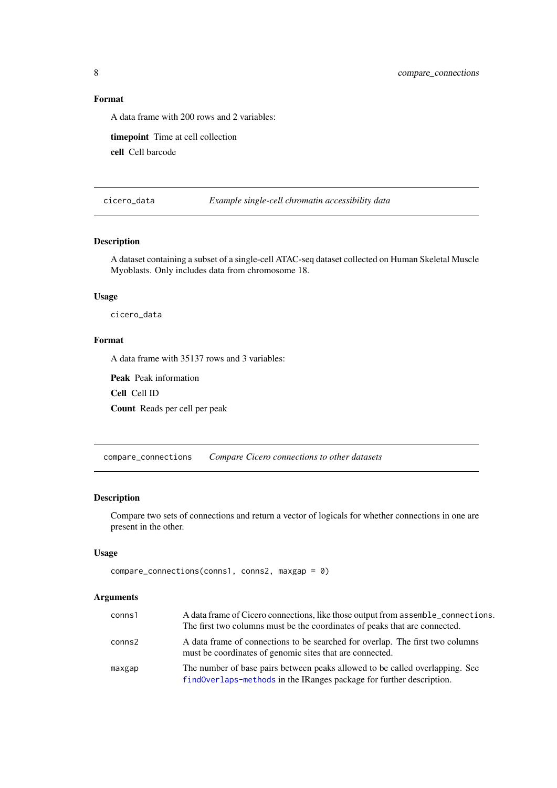#### Format

A data frame with 200 rows and 2 variables:

timepoint Time at cell collection

cell Cell barcode

cicero\_data *Example single-cell chromatin accessibility data*

## Description

A dataset containing a subset of a single-cell ATAC-seq dataset collected on Human Skeletal Muscle Myoblasts. Only includes data from chromosome 18.

#### Usage

cicero\_data

#### Format

A data frame with 35137 rows and 3 variables:

Peak Peak information

Cell Cell ID

Count Reads per cell per peak

compare\_connections *Compare Cicero connections to other datasets*

## Description

Compare two sets of connections and return a vector of logicals for whether connections in one are present in the other.

## Usage

```
compare_connections(conns1, conns2, maxgap = 0)
```

| conns1 | A data frame of Cicero connections, like those output from assemble_connections.<br>The first two columns must be the coordinates of peaks that are connected. |
|--------|----------------------------------------------------------------------------------------------------------------------------------------------------------------|
| conns2 | A data frame of connections to be searched for overlap. The first two columns<br>must be coordinates of genomic sites that are connected.                      |
| maxgap | The number of base pairs between peaks allowed to be called overlapping. See<br>findOverlaps-methods in the IRanges package for further description.           |

<span id="page-7-0"></span>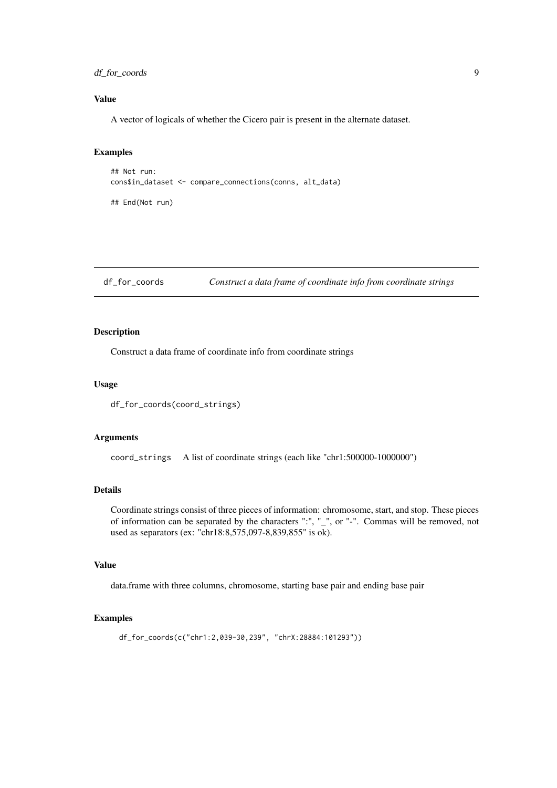#### <span id="page-8-0"></span>df\_for\_coords 9

## Value

A vector of logicals of whether the Cicero pair is present in the alternate dataset.

## Examples

```
## Not run:
cons$in_dataset <- compare_connections(conns, alt_data)
## End(Not run)
```

```
df_for_coords Construct a data frame of coordinate info from coordinate strings
```
## Description

Construct a data frame of coordinate info from coordinate strings

## Usage

```
df_for_coords(coord_strings)
```
## Arguments

coord\_strings A list of coordinate strings (each like "chr1:500000-1000000")

## Details

Coordinate strings consist of three pieces of information: chromosome, start, and stop. These pieces of information can be separated by the characters ":", "\_", or "-". Commas will be removed, not used as separators (ex: "chr18:8,575,097-8,839,855" is ok).

## Value

data.frame with three columns, chromosome, starting base pair and ending base pair

## Examples

```
df_for_coords(c("chr1:2,039-30,239", "chrX:28884:101293"))
```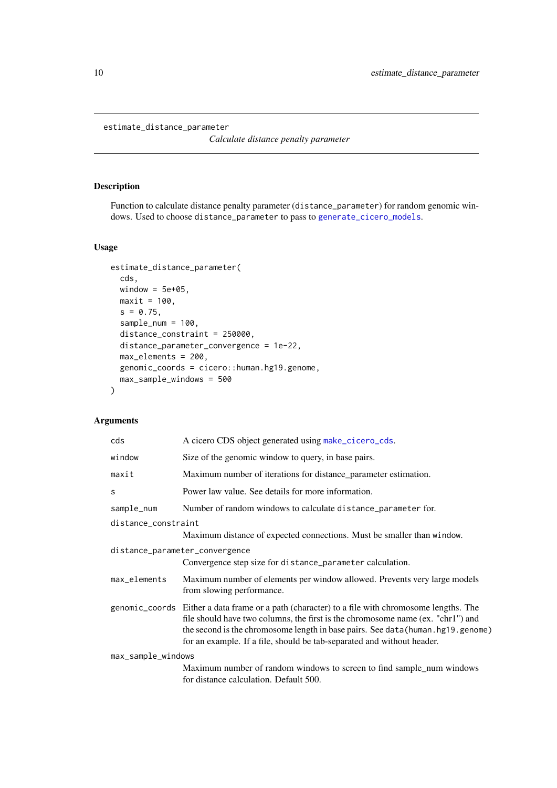<span id="page-9-1"></span><span id="page-9-0"></span>estimate\_distance\_parameter

*Calculate distance penalty parameter*

## Description

Function to calculate distance penalty parameter (distance\_parameter) for random genomic windows. Used to choose distance\_parameter to pass to [generate\\_cicero\\_models](#page-13-1).

## Usage

```
estimate_distance_parameter(
  cds,
  window = 5e+05,
  maxit = 100,
  s = 0.75,
  sample_num = 100,
  distance_constraint = 250000,
  distance_parameter_convergence = 1e-22,
  max_elements = 200,
  genomic_coords = cicero::human.hg19.genome,
  max_sample_windows = 500
\lambda
```

| cds                 | A cicero CDS object generated using make_cicero_cds.                                                                                                                                                                                                                                                                                              |
|---------------------|---------------------------------------------------------------------------------------------------------------------------------------------------------------------------------------------------------------------------------------------------------------------------------------------------------------------------------------------------|
| window              | Size of the genomic window to query, in base pairs.                                                                                                                                                                                                                                                                                               |
| maxit               | Maximum number of iterations for distance_parameter estimation.                                                                                                                                                                                                                                                                                   |
| S                   | Power law value. See details for more information.                                                                                                                                                                                                                                                                                                |
| sample_num          | Number of random windows to calculate distance parameter for.                                                                                                                                                                                                                                                                                     |
| distance_constraint | Maximum distance of expected connections. Must be smaller than window.                                                                                                                                                                                                                                                                            |
|                     | distance_parameter_convergence<br>Convergence step size for distance_parameter calculation.                                                                                                                                                                                                                                                       |
| max_elements        | Maximum number of elements per window allowed. Prevents very large models<br>from slowing performance.                                                                                                                                                                                                                                            |
|                     | genomic_coords Either a data frame or a path (character) to a file with chromosome lengths. The<br>file should have two columns, the first is the chromosome name (ex. "chr1") and<br>the second is the chromosome length in base pairs. See data (human. hg19. genome)<br>for an example. If a file, should be tab-separated and without header. |
| max_sample_windows  | Maximum number of random windows to screen to find sample_num windows<br>for distance calculation. Default 500.                                                                                                                                                                                                                                   |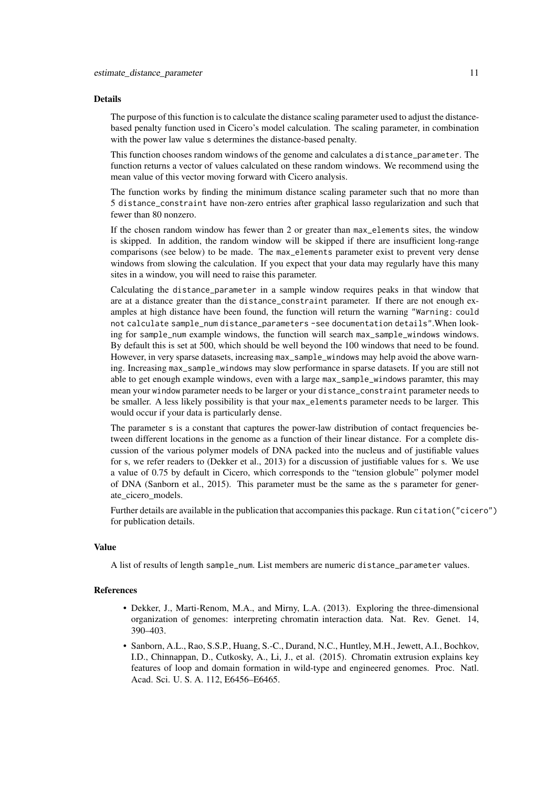#### Details

The purpose of this function is to calculate the distance scaling parameter used to adjust the distancebased penalty function used in Cicero's model calculation. The scaling parameter, in combination with the power law value s determines the distance-based penalty.

This function chooses random windows of the genome and calculates a distance\_parameter. The function returns a vector of values calculated on these random windows. We recommend using the mean value of this vector moving forward with Cicero analysis.

The function works by finding the minimum distance scaling parameter such that no more than 5 distance\_constraint have non-zero entries after graphical lasso regularization and such that fewer than 80 nonzero.

If the chosen random window has fewer than 2 or greater than max\_elements sites, the window is skipped. In addition, the random window will be skipped if there are insufficient long-range comparisons (see below) to be made. The max\_elements parameter exist to prevent very dense windows from slowing the calculation. If you expect that your data may regularly have this many sites in a window, you will need to raise this parameter.

Calculating the distance\_parameter in a sample window requires peaks in that window that are at a distance greater than the distance\_constraint parameter. If there are not enough examples at high distance have been found, the function will return the warning "Warning: could not calculate sample\_num distance\_parameters -see documentation details".When looking for sample\_num example windows, the function will search max\_sample\_windows windows. By default this is set at 500, which should be well beyond the 100 windows that need to be found. However, in very sparse datasets, increasing max\_sample\_windows may help avoid the above warning. Increasing max\_sample\_windows may slow performance in sparse datasets. If you are still not able to get enough example windows, even with a large max\_sample\_windows paramter, this may mean your window parameter needs to be larger or your distance\_constraint parameter needs to be smaller. A less likely possibility is that your max\_elements parameter needs to be larger. This would occur if your data is particularly dense.

The parameter s is a constant that captures the power-law distribution of contact frequencies between different locations in the genome as a function of their linear distance. For a complete discussion of the various polymer models of DNA packed into the nucleus and of justifiable values for s, we refer readers to (Dekker et al., 2013) for a discussion of justifiable values for s. We use a value of 0.75 by default in Cicero, which corresponds to the "tension globule" polymer model of DNA (Sanborn et al., 2015). This parameter must be the same as the s parameter for generate\_cicero\_models.

Further details are available in the publication that accompanies this package. Run citation("cicero") for publication details.

#### Value

A list of results of length sample\_num. List members are numeric distance\_parameter values.

#### References

- Dekker, J., Marti-Renom, M.A., and Mirny, L.A. (2013). Exploring the three-dimensional organization of genomes: interpreting chromatin interaction data. Nat. Rev. Genet. 14, 390–403.
- Sanborn, A.L., Rao, S.S.P., Huang, S.-C., Durand, N.C., Huntley, M.H., Jewett, A.I., Bochkov, I.D., Chinnappan, D., Cutkosky, A., Li, J., et al. (2015). Chromatin extrusion explains key features of loop and domain formation in wild-type and engineered genomes. Proc. Natl. Acad. Sci. U. S. A. 112, E6456–E6465.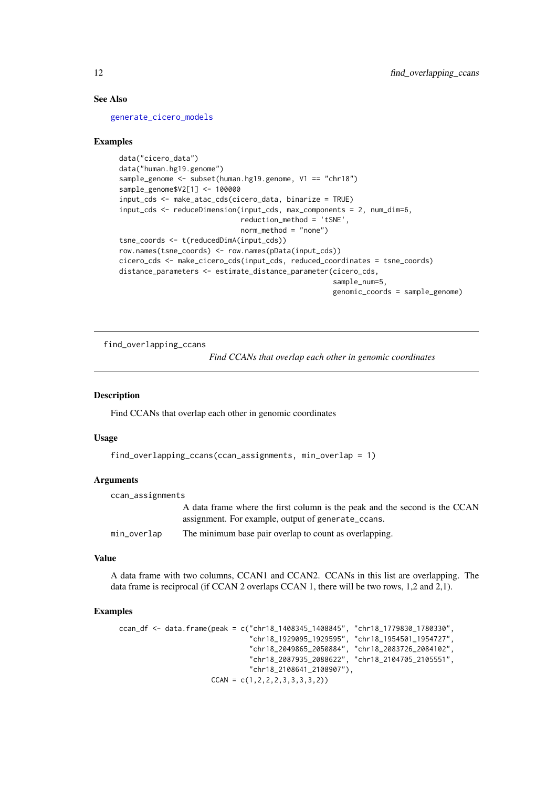#### See Also

[generate\\_cicero\\_models](#page-13-1)

#### Examples

```
data("cicero_data")
data("human.hg19.genome")
sample_genome <- subset(human.hg19.genome, V1 == "chr18")
sample_genome$V2[1] <- 100000
input_cds <- make_atac_cds(cicero_data, binarize = TRUE)
input_cds <- reduceDimension(input_cds, max_components = 2, num_dim=6,
                             reduction_method = 'tSNE',
                             norm_method = "none")
tsne_coords <- t(reducedDimA(input_cds))
row.names(tsne_coords) <- row.names(pData(input_cds))
cicero_cds <- make_cicero_cds(input_cds, reduced_coordinates = tsne_coords)
distance_parameters <- estimate_distance_parameter(cicero_cds,
                                                   sample_num=5,
                                                   genomic_coords = sample_genome)
```
find\_overlapping\_ccans

*Find CCANs that overlap each other in genomic coordinates*

## Description

Find CCANs that overlap each other in genomic coordinates

#### Usage

```
find_overlapping_ccans(ccan_assignments, min_overlap = 1)
```
#### Arguments

| ccan_assignments |                                                                            |
|------------------|----------------------------------------------------------------------------|
|                  | A data frame where the first column is the peak and the second is the CCAN |
|                  | assignment. For example, output of generate_ccans.                         |
| min_overlap      | The minimum base pair overlap to count as overlapping.                     |

## Value

A data frame with two columns, CCAN1 and CCAN2. CCANs in this list are overlapping. The data frame is reciprocal (if CCAN 2 overlaps CCAN 1, there will be two rows, 1,2 and 2,1).

#### Examples

```
ccan_df <- data.frame(peak = c("chr18_1408345_1408845", "chr18_1779830_1780330",
                               "chr18_1929095_1929595", "chr18_1954501_1954727",
                               "chr18_2049865_2050884", "chr18_2083726_2084102",
                               "chr18_2087935_2088622", "chr18_2104705_2105551",
                               "chr18_2108641_2108907"),
                      CCAN = c(1,2,2,2,3,3,3,3,2))
```
<span id="page-11-0"></span>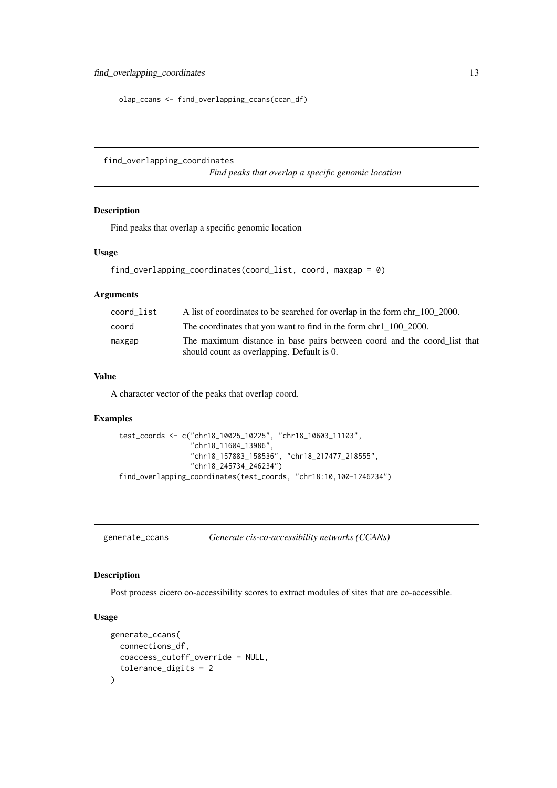```
olap_ccans <- find_overlapping_ccans(ccan_df)
```
find\_overlapping\_coordinates

*Find peaks that overlap a specific genomic location*

#### Description

Find peaks that overlap a specific genomic location

## Usage

```
find_overlapping_coordinates(coord_list, coord, maxgap = 0)
```
#### Arguments

| coord list | A list of coordinates to be searched for overlap in the form chr 100 2000.                                             |
|------------|------------------------------------------------------------------------------------------------------------------------|
| coord      | The coordinates that you want to find in the form chr 1 100 2000.                                                      |
| maxgap     | The maximum distance in base pairs between coord and the coord_list that<br>should count as overlapping. Default is 0. |

## Value

A character vector of the peaks that overlap coord.

## Examples

```
test_coords <- c("chr18_10025_10225", "chr18_10603_11103",
                 "chr18_11604_13986",
                 "chr18_157883_158536", "chr18_217477_218555",
                 "chr18_245734_246234")
find_overlapping_coordinates(test_coords, "chr18:10,100-1246234")
```
generate\_ccans *Generate cis-co-accessibility networks (CCANs)*

## Description

Post process cicero co-accessibility scores to extract modules of sites that are co-accessible.

#### Usage

```
generate_ccans(
  connections_df,
  coaccess_cutoff_override = NULL,
  tolerance_digits = 2
)
```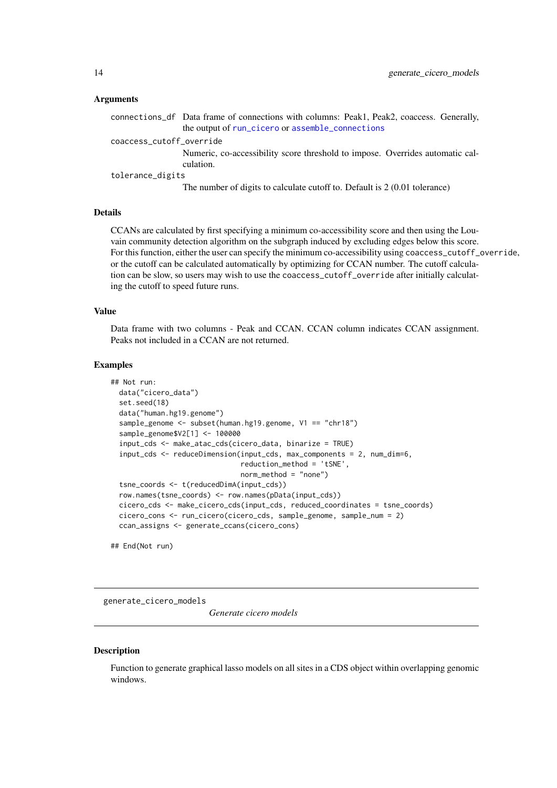#### Arguments

|                          | connections_df Data frame of connections with columns: Peak1, Peak2, coaccess. Generally, |
|--------------------------|-------------------------------------------------------------------------------------------|
|                          | the output of run_cicero or assemble_connections                                          |
| coaccess_cutoff_override |                                                                                           |
|                          | Numeric, co-accessibility score threshold to impose. Overrides automatic cal-             |
|                          | culation.                                                                                 |
| tolerance_digits         |                                                                                           |
|                          | The number of digits to calculate cutoff to. Default is 2 (0.01 tolerance)                |

#### Details

CCANs are calculated by first specifying a minimum co-accessibility score and then using the Louvain community detection algorithm on the subgraph induced by excluding edges below this score. For this function, either the user can specify the minimum co-accessibility using coaccess\_cutoff\_override, or the cutoff can be calculated automatically by optimizing for CCAN number. The cutoff calculation can be slow, so users may wish to use the coaccess\_cutoff\_override after initially calculating the cutoff to speed future runs.

### Value

Data frame with two columns - Peak and CCAN. CCAN column indicates CCAN assignment. Peaks not included in a CCAN are not returned.

## Examples

```
## Not run:
 data("cicero_data")
  set.seed(18)
  data("human.hg19.genome")
  sample_genome <- subset(human.hg19.genome, V1 == "chr18")
  sample_genome$V2[1] <- 100000
  input_cds <- make_atac_cds(cicero_data, binarize = TRUE)
  input_cds <- reduceDimension(input_cds, max_components = 2, num_dim=6,
                               reduction_method = 'tSNE',
                               norm_method = "none")
  tsne_coords <- t(reducedDimA(input_cds))
  row.names(tsne_coords) <- row.names(pData(input_cds))
  cicero_cds <- make_cicero_cds(input_cds, reduced_coordinates = tsne_coords)
  cicero_cons <- run_cicero(cicero_cds, sample_genome, sample_num = 2)
  ccan_assigns <- generate_ccans(cicero_cons)
```
## End(Not run)

<span id="page-13-1"></span>generate\_cicero\_models

*Generate cicero models*

#### Description

Function to generate graphical lasso models on all sites in a CDS object within overlapping genomic windows.

<span id="page-13-0"></span>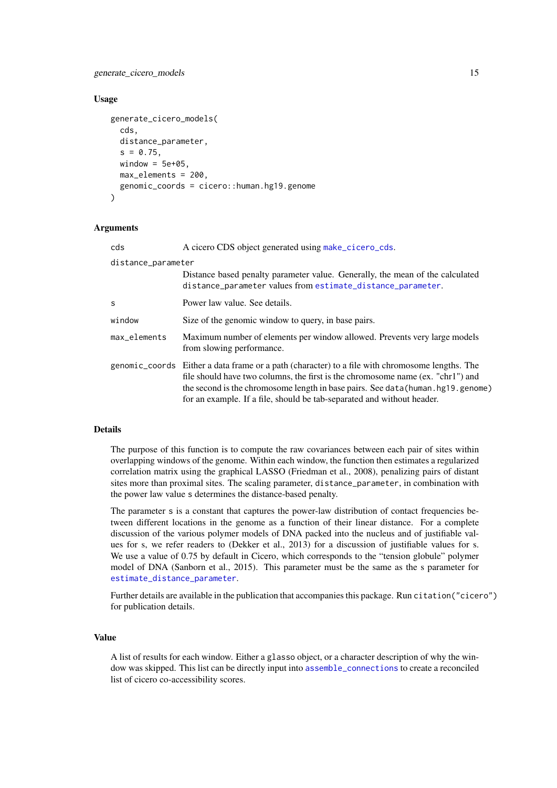#### <span id="page-14-0"></span>generate\_cicero\_models 15

#### Usage

```
generate_cicero_models(
  cds,
  distance_parameter,
  s = 0.75,
  window = 5e+05.
  max_elements = 200,
  genomic_coords = cicero::human.hg19.genome
)
```
#### Arguments

| cds                | A cicero CDS object generated using make_cicero_cds.                                                                                                                                                                                                                                                                                              |
|--------------------|---------------------------------------------------------------------------------------------------------------------------------------------------------------------------------------------------------------------------------------------------------------------------------------------------------------------------------------------------|
| distance_parameter |                                                                                                                                                                                                                                                                                                                                                   |
|                    | Distance based penalty parameter value. Generally, the mean of the calculated<br>distance_parameter values from estimate_distance_parameter.                                                                                                                                                                                                      |
| S                  | Power law value. See details.                                                                                                                                                                                                                                                                                                                     |
| window             | Size of the genomic window to query, in base pairs.                                                                                                                                                                                                                                                                                               |
| max_elements       | Maximum number of elements per window allowed. Prevents very large models<br>from slowing performance.                                                                                                                                                                                                                                            |
|                    | genomic_coords Either a data frame or a path (character) to a file with chromosome lengths. The<br>file should have two columns, the first is the chromosome name (ex. "chr1") and<br>the second is the chromosome length in base pairs. See data (human, hg19, genome)<br>for an example. If a file, should be tab-separated and without header. |

## Details

The purpose of this function is to compute the raw covariances between each pair of sites within overlapping windows of the genome. Within each window, the function then estimates a regularized correlation matrix using the graphical LASSO (Friedman et al., 2008), penalizing pairs of distant sites more than proximal sites. The scaling parameter, distance\_parameter, in combination with the power law value s determines the distance-based penalty.

The parameter s is a constant that captures the power-law distribution of contact frequencies between different locations in the genome as a function of their linear distance. For a complete discussion of the various polymer models of DNA packed into the nucleus and of justifiable values for s, we refer readers to (Dekker et al., 2013) for a discussion of justifiable values for s. We use a value of 0.75 by default in Cicero, which corresponds to the "tension globule" polymer model of DNA (Sanborn et al., 2015). This parameter must be the same as the s parameter for [estimate\\_distance\\_parameter](#page-9-1).

Further details are available in the publication that accompanies this package. Run citation("cicero") for publication details.

#### Value

A list of results for each window. Either a glasso object, or a character description of why the window was skipped. This list can be directly input into [assemble\\_connections](#page-4-1) to create a reconciled list of cicero co-accessibility scores.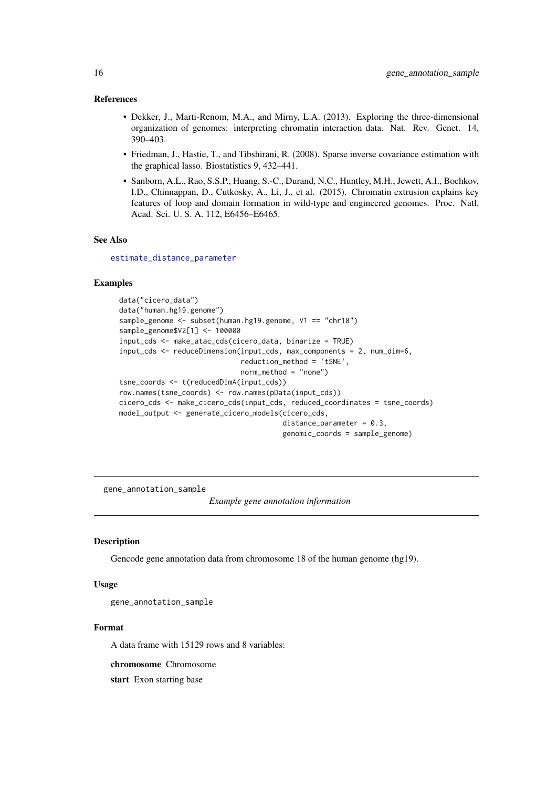#### <span id="page-15-0"></span>References

- Dekker, J., Marti-Renom, M.A., and Mirny, L.A. (2013). Exploring the three-dimensional organization of genomes: interpreting chromatin interaction data. Nat. Rev. Genet. 14, 390–403.
- Friedman, J., Hastie, T., and Tibshirani, R. (2008). Sparse inverse covariance estimation with the graphical lasso. Biostatistics 9, 432–441.
- Sanborn, A.L., Rao, S.S.P., Huang, S.-C., Durand, N.C., Huntley, M.H., Jewett, A.I., Bochkov, I.D., Chinnappan, D., Cutkosky, A., Li, J., et al. (2015). Chromatin extrusion explains key features of loop and domain formation in wild-type and engineered genomes. Proc. Natl. Acad. Sci. U. S. A. 112, E6456–E6465.

## See Also

[estimate\\_distance\\_parameter](#page-9-1)

#### Examples

```
data("cicero_data")
data("human.hg19.genome")
sample_genome <- subset(human.hg19.genome, V1 == "chr18")
sample_genome$V2[1] <- 100000
input_cds <- make_atac_cds(cicero_data, binarize = TRUE)
input_cds <- reduceDimension(input_cds, max_components = 2, num_dim=6,
                             reduction_method = 'tSNE',
                             norm_method = "none")
tsne_coords <- t(reducedDimA(input_cds))
row.names(tsne_coords) <- row.names(pData(input_cds))
cicero_cds <- make_cicero_cds(input_cds, reduced_coordinates = tsne_coords)
model_output <- generate_cicero_models(cicero_cds,
                                       distance_parameter = 0.3,
                                       genomic_coords = sample_genome)
```
gene annotation sample

*Example gene annotation information*

#### Description

Gencode gene annotation data from chromosome 18 of the human genome (hg19).

#### Usage

```
gene_annotation_sample
```
#### Format

A data frame with 15129 rows and 8 variables:

chromosome Chromosome

start Exon starting base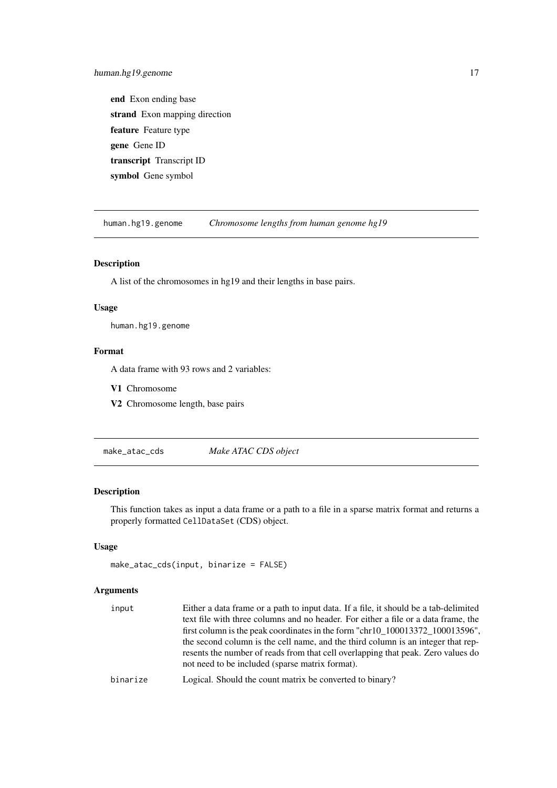<span id="page-16-0"></span>end Exon ending base strand Exon mapping direction feature Feature type gene Gene ID transcript Transcript ID symbol Gene symbol

human.hg19.genome *Chromosome lengths from human genome hg19*

## Description

A list of the chromosomes in hg19 and their lengths in base pairs.

## Usage

human.hg19.genome

#### Format

A data frame with 93 rows and 2 variables:

V1 Chromosome

V2 Chromosome length, base pairs

<span id="page-16-1"></span>make\_atac\_cds *Make ATAC CDS object*

### Description

This function takes as input a data frame or a path to a file in a sparse matrix format and returns a properly formatted CellDataSet (CDS) object.

## Usage

```
make_atac_cds(input, binarize = FALSE)
```

| input    | Either a data frame or a path to input data. If a file, it should be a tab-delimited |
|----------|--------------------------------------------------------------------------------------|
|          | text file with three columns and no header. For either a file or a data frame, the   |
|          | first column is the peak coordinates in the form "chr10_100013372_100013596",        |
|          | the second column is the cell name, and the third column is an integer that rep-     |
|          | resents the number of reads from that cell overlapping that peak. Zero values do     |
|          | not need to be included (sparse matrix format).                                      |
| hinariza | Lorical Should the count matrix be converted to binary?                              |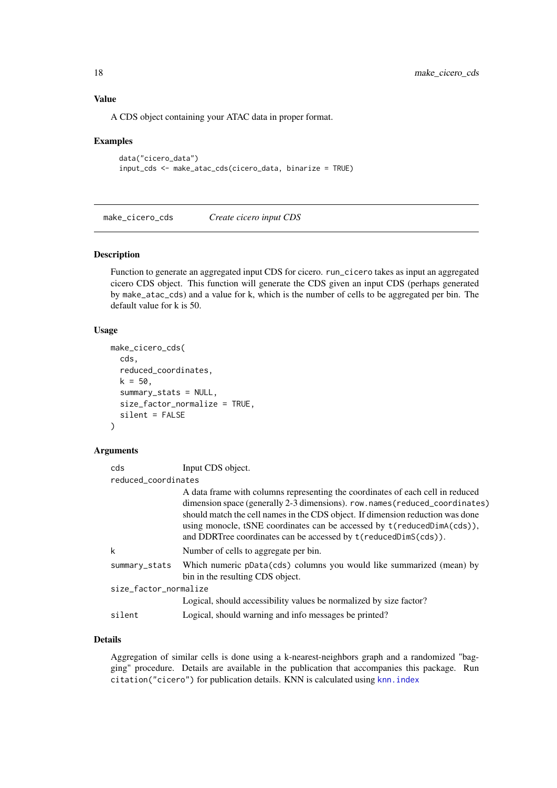## Value

A CDS object containing your ATAC data in proper format.

#### Examples

```
data("cicero_data")
input_cds <- make_atac_cds(cicero_data, binarize = TRUE)
```
<span id="page-17-1"></span>make\_cicero\_cds *Create cicero input CDS*

#### Description

Function to generate an aggregated input CDS for cicero. run\_cicero takes as input an aggregated cicero CDS object. This function will generate the CDS given an input CDS (perhaps generated by make\_atac\_cds) and a value for k, which is the number of cells to be aggregated per bin. The default value for k is 50.

#### Usage

```
make_cicero_cds(
  cds,
  reduced_coordinates,
  k = 50,
  summary_stats = NULL,
  size_factor_normalize = TRUE,
  silent = FALSE
\lambda
```
## Arguments

| cds                   | Input CDS object.                                                                                                                                                                                                                                                                                                                                                                             |
|-----------------------|-----------------------------------------------------------------------------------------------------------------------------------------------------------------------------------------------------------------------------------------------------------------------------------------------------------------------------------------------------------------------------------------------|
| reduced coordinates   |                                                                                                                                                                                                                                                                                                                                                                                               |
|                       | A data frame with columns representing the coordinates of each cell in reduced<br>dimension space (generally 2-3 dimensions). row.names (reduced_coordinates)<br>should match the cell names in the CDS object. If dimension reduction was done<br>using monocle, tSNE coordinates can be accessed by t(reducedDimA(cds)),<br>and DDRTree coordinates can be accessed by t(reducedDimS(cds)). |
| k                     | Number of cells to aggregate per bin.                                                                                                                                                                                                                                                                                                                                                         |
| summary_stats         | Which numeric pData(cds) columns you would like summarized (mean) by<br>bin in the resulting CDS object.                                                                                                                                                                                                                                                                                      |
| size_factor_normalize |                                                                                                                                                                                                                                                                                                                                                                                               |
|                       | Logical, should accessibility values be normalized by size factor?                                                                                                                                                                                                                                                                                                                            |
| silent                | Logical, should warning and info messages be printed?                                                                                                                                                                                                                                                                                                                                         |

## Details

Aggregation of similar cells is done using a k-nearest-neighbors graph and a randomized "bagging" procedure. Details are available in the publication that accompanies this package. Run citation("cicero") for publication details. KNN is calculated using [knn.index](#page-0-0)

<span id="page-17-0"></span>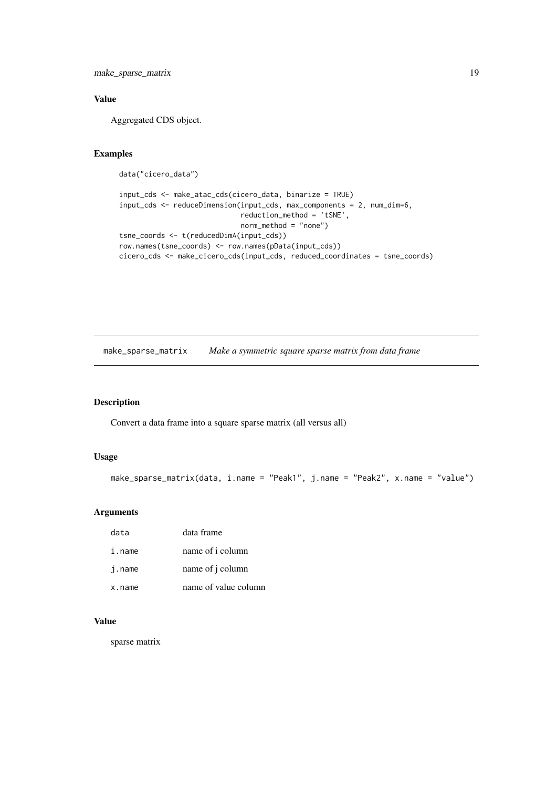<span id="page-18-0"></span>make\_sparse\_matrix 19

## Value

Aggregated CDS object.

## Examples

data("cicero\_data")

```
input_cds <- make_atac_cds(cicero_data, binarize = TRUE)
input_cds <- reduceDimension(input_cds, max_components = 2, num_dim=6,
                             reduction_method = 'tSNE',
                             norm_method = "none")
tsne_coords <- t(reducedDimA(input_cds))
row.names(tsne_coords) <- row.names(pData(input_cds))
cicero_cds <- make_cicero_cds(input_cds, reduced_coordinates = tsne_coords)
```
make\_sparse\_matrix *Make a symmetric square sparse matrix from data frame*

## Description

Convert a data frame into a square sparse matrix (all versus all)

## Usage

```
make_sparse_matrix(data, i.name = "Peak1", j.name = "Peak2", x.name = "value")
```
### Arguments

| data   | data frame           |
|--------|----------------------|
| i.name | name of i column     |
| j.name | name of j column     |
| x.name | name of value column |

## Value

sparse matrix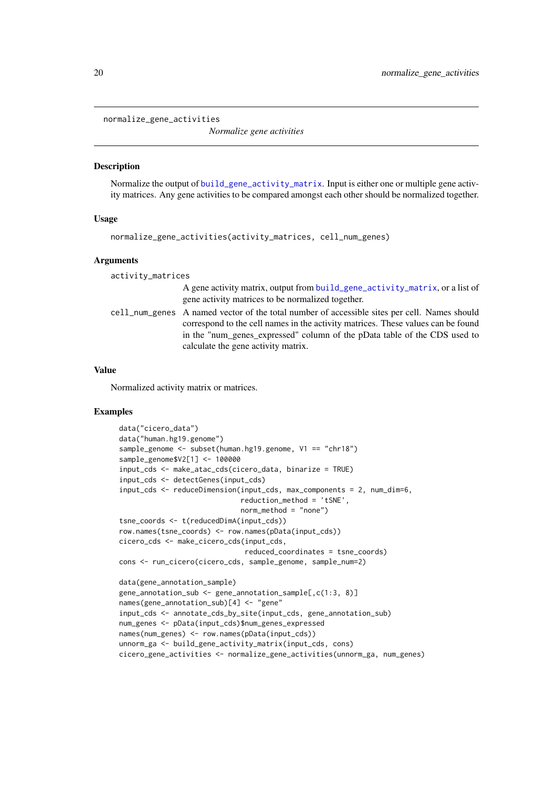<span id="page-19-1"></span><span id="page-19-0"></span>normalize\_gene\_activities

*Normalize gene activities*

#### Description

Normalize the output of [build\\_gene\\_activity\\_matrix](#page-5-1). Input is either one or multiple gene activity matrices. Any gene activities to be compared amongst each other should be normalized together.

## Usage

```
normalize_gene_activities(activity_matrices, cell_num_genes)
```
## Arguments

| activity_matrices |                                                                                                                                                                                                                                                                                                      |
|-------------------|------------------------------------------------------------------------------------------------------------------------------------------------------------------------------------------------------------------------------------------------------------------------------------------------------|
|                   | A gene activity matrix, output from build_gene_activity_matrix, or a list of<br>gene activity matrices to be normalized together.                                                                                                                                                                    |
|                   | cell_num_genes A named vector of the total number of accessible sites per cell. Names should<br>correspond to the cell names in the activity matrices. These values can be found<br>in the "num genes expressed" column of the pData table of the CDS used to<br>calculate the gene activity matrix. |

#### Value

Normalized activity matrix or matrices.

#### Examples

```
data("cicero_data")
data("human.hg19.genome")
sample_genome <- subset(human.hg19.genome, V1 == "chr18")
sample_genome$V2[1] <- 100000
input_cds <- make_atac_cds(cicero_data, binarize = TRUE)
input_cds <- detectGenes(input_cds)
input_cds <- reduceDimension(input_cds, max_components = 2, num_dim=6,
                             reduction_method = 'tSNE',
                             norm method = "none")
tsne_coords <- t(reducedDimA(input_cds))
row.names(tsne_coords) <- row.names(pData(input_cds))
cicero_cds <- make_cicero_cds(input_cds,
                              reduced_coordinates = tsne_coords)
cons <- run_cicero(cicero_cds, sample_genome, sample_num=2)
data(gene_annotation_sample)
gene_annotation_sub <- gene_annotation_sample[,c(1:3, 8)]
names(gene_annotation_sub)[4] <- "gene"
input_cds <- annotate_cds_by_site(input_cds, gene_annotation_sub)
num_genes <- pData(input_cds)$num_genes_expressed
names(num_genes) <- row.names(pData(input_cds))
unnorm_ga <- build_gene_activity_matrix(input_cds, cons)
cicero_gene_activities <- normalize_gene_activities(unnorm_ga, num_genes)
```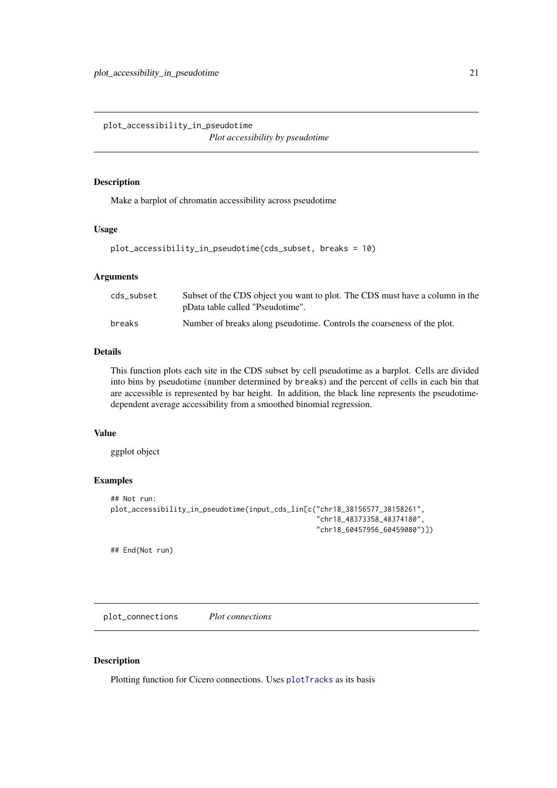<span id="page-20-0"></span>plot\_accessibility\_in\_pseudotime

*Plot accessibility by pseudotime*

## Description

Make a barplot of chromatin accessibility across pseudotime

## Usage

```
plot_accessibility_in_pseudotime(cds_subset, breaks = 10)
```
## Arguments

| cds_subset | Subset of the CDS object you want to plot. The CDS must have a column in the<br>pData table called "Pseudotime". |
|------------|------------------------------------------------------------------------------------------------------------------|
| breaks     | Number of breaks along pseudotime. Controls the coarseness of the plot.                                          |

## Details

This function plots each site in the CDS subset by cell pseudotime as a barplot. Cells are divided into bins by pseudotime (number determined by breaks) and the percent of cells in each bin that are accessible is represented by bar height. In addition, the black line represents the pseudotimedependent average accessibility from a smoothed binomial regression.

#### Value

ggplot object

## Examples

```
## Not run:
plot_accessibility_in_pseudotime(input_cds_lin[c("chr18_38156577_38158261",
                                                  "chr18_48373358_48374180",
                                                  "chr18_60457956_60459080")])
```
## End(Not run)

plot\_connections *Plot connections*

## Description

Plotting function for Cicero connections. Uses [plotTracks](#page-0-0) as its basis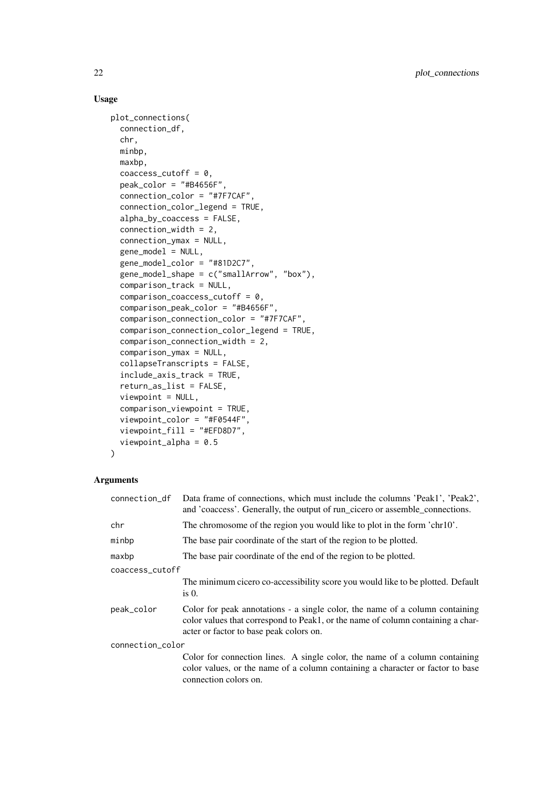## Usage

```
plot_connections(
 connection_df,
 chr,
 minbp,
 maxbp,
 coaccess cutoff = 0.
 peak_color = "#B4656F",
 connection_color = "#7F7CAF",
 connection_color_legend = TRUE,
 alpha_by_coaccess = FALSE,
 connection_width = 2,
 connection_ymax = NULL,
 gene_model = NULL,
 gene_model_color = "#81D2C7",
 gene_model_shape = c("smallArrow", "box"),
 comparison_track = NULL,
  comparison_coaccess_cutoff = 0,
 comparison_peak_color = "#B4656F",
 comparison_connection_color = "#7F7CAF",
  comparison_connection_color_legend = TRUE,
 comparison_connection_width = 2,
 comparison_ymax = NULL,
 collapseTranscripts = FALSE,
  include_axis_track = TRUE,
 return_as_list = FALSE,
 viewpoint = NULL,
 comparison_viewpoint = TRUE,
 viewpoint_color = "#F0544F",
 viewpoint_fill = "#EFD8D7",
  viewpoint_alpha = 0.5
)
```

| connection_df    | Data frame of connections, which must include the columns 'Peak1', 'Peak2',<br>and 'coacess'. Generally, the output of run_cicero or assemble_connections.                                                 |
|------------------|------------------------------------------------------------------------------------------------------------------------------------------------------------------------------------------------------------|
| chr              | The chromosome of the region you would like to plot in the form 'chr10'.                                                                                                                                   |
| minbp            | The base pair coordinate of the start of the region to be plotted.                                                                                                                                         |
| maxbp            | The base pair coordinate of the end of the region to be plotted.                                                                                                                                           |
| coaccess_cutoff  |                                                                                                                                                                                                            |
|                  | The minimum cicero co-accessibility score you would like to be plotted. Default<br>$is0$ .                                                                                                                 |
| peak_color       | Color for peak annotations - a single color, the name of a column containing<br>color values that correspond to Peak1, or the name of column containing a char-<br>acter or factor to base peak colors on. |
| connection_color |                                                                                                                                                                                                            |
|                  | Color for connection lines. A single color, the name of a column containing<br>color values, or the name of a column containing a character or factor to base<br>connection colors on.                     |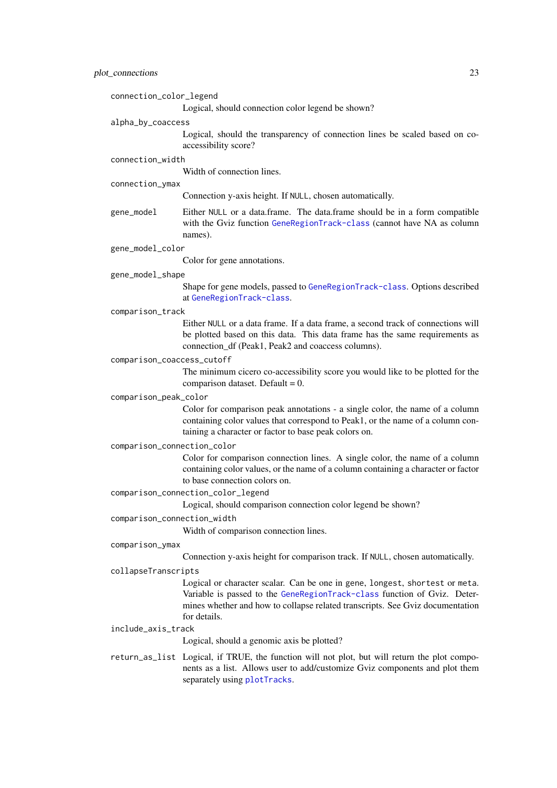<span id="page-22-0"></span>

| connection_color_legend     |                                                                                                                                                                                                                                                          |
|-----------------------------|----------------------------------------------------------------------------------------------------------------------------------------------------------------------------------------------------------------------------------------------------------|
|                             | Logical, should connection color legend be shown?                                                                                                                                                                                                        |
| alpha_by_coaccess           |                                                                                                                                                                                                                                                          |
|                             | Logical, should the transparency of connection lines be scaled based on co-<br>accessibility score?                                                                                                                                                      |
| connection_width            |                                                                                                                                                                                                                                                          |
|                             | Width of connection lines.                                                                                                                                                                                                                               |
| connection_ymax             |                                                                                                                                                                                                                                                          |
|                             | Connection y-axis height. If NULL, chosen automatically.                                                                                                                                                                                                 |
| gene_model                  | Either NULL or a data.frame. The data.frame should be in a form compatible<br>with the Gviz function GeneRegionTrack-class (cannot have NA as column<br>names).                                                                                          |
| gene_model_color            |                                                                                                                                                                                                                                                          |
|                             | Color for gene annotations.                                                                                                                                                                                                                              |
| gene_model_shape            |                                                                                                                                                                                                                                                          |
|                             | Shape for gene models, passed to GeneRegionTrack-class. Options described<br>at GeneRegionTrack-class.                                                                                                                                                   |
| comparison_track            |                                                                                                                                                                                                                                                          |
|                             | Either NULL or a data frame. If a data frame, a second track of connections will<br>be plotted based on this data. This data frame has the same requirements as<br>connection_df (Peak1, Peak2 and coaccess columns).                                    |
| comparison_coaccess_cutoff  |                                                                                                                                                                                                                                                          |
|                             | The minimum cicero co-accessibility score you would like to be plotted for the<br>comparison dataset. Default = $0$ .                                                                                                                                    |
| comparison_peak_color       |                                                                                                                                                                                                                                                          |
|                             | Color for comparison peak annotations - a single color, the name of a column<br>containing color values that correspond to Peak1, or the name of a column con-<br>taining a character or factor to base peak colors on.                                  |
| comparison_connection_color |                                                                                                                                                                                                                                                          |
|                             | Color for comparison connection lines. A single color, the name of a column<br>containing color values, or the name of a column containing a character or factor<br>to base connection colors on.                                                        |
|                             | comparison_connection_color_legend<br>Logical, should comparison connection color legend be shown?                                                                                                                                                       |
| comparison_connection_width | Width of comparison connection lines.                                                                                                                                                                                                                    |
| comparison_ymax             |                                                                                                                                                                                                                                                          |
|                             | Connection y-axis height for comparison track. If NULL, chosen automatically.                                                                                                                                                                            |
| collapseTranscripts         |                                                                                                                                                                                                                                                          |
|                             | Logical or character scalar. Can be one in gene, longest, shortest or meta.<br>Variable is passed to the GeneRegionTrack-class function of Gviz. Deter-<br>mines whether and how to collapse related transcripts. See Gviz documentation<br>for details. |
| include_axis_track          |                                                                                                                                                                                                                                                          |
|                             | Logical, should a genomic axis be plotted?                                                                                                                                                                                                               |
|                             | return_as_list Logical, if TRUE, the function will not plot, but will return the plot compo-<br>nents as a list. Allows user to add/customize Gviz components and plot them<br>separately using plotTracks.                                              |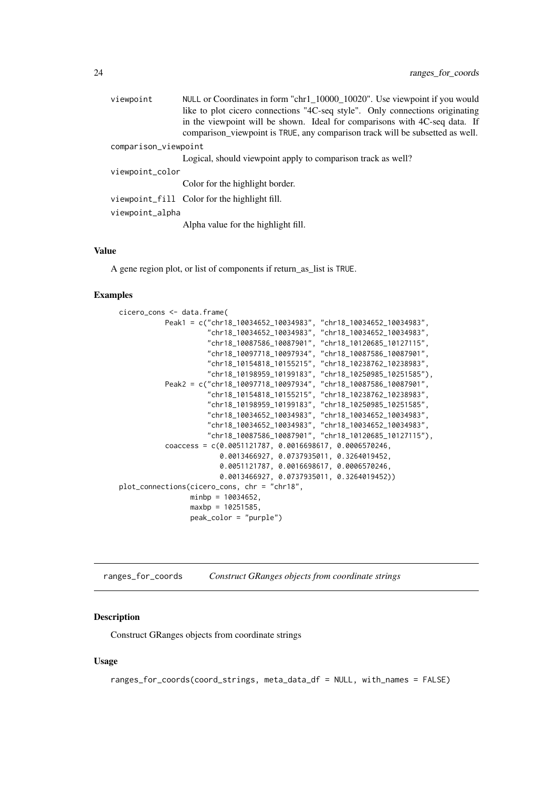<span id="page-23-0"></span>

| viewpoint            | NULL or Coordinates in form "chr1_10000_10020". Use viewpoint if you would                                                                                  |
|----------------------|-------------------------------------------------------------------------------------------------------------------------------------------------------------|
|                      | like to plot cicero connections "4C-seq style". Only connections originating                                                                                |
|                      | in the viewpoint will be shown. Ideal for comparisons with 4C-seq data. If<br>comparison_viewpoint is TRUE, any comparison track will be subsetted as well. |
| comparison_viewpoint |                                                                                                                                                             |
|                      | Logical, should viewpoint apply to comparison track as well?                                                                                                |
| viewpoint_color      |                                                                                                                                                             |
|                      | Color for the highlight border.                                                                                                                             |
|                      | viewpoint_fill Color for the highlight fill.                                                                                                                |
| viewpoint_alpha      |                                                                                                                                                             |
|                      | Alpha value for the highlight fill.                                                                                                                         |

## Value

A gene region plot, or list of components if return\_as\_list is TRUE.

## Examples

```
cicero_cons <- data.frame(
          Peak1 = c("chr18_10034652_10034983", "chr18_10034652_10034983",
                     "chr18_10034652_10034983", "chr18_10034652_10034983",
                     "chr18_10087586_10087901", "chr18_10120685_10127115",
                     "chr18_10097718_10097934", "chr18_10087586_10087901",
                     "chr18_10154818_10155215", "chr18_10238762_10238983",
                     "chr18_10198959_10199183", "chr18_10250985_10251585"),
           Peak2 = c("chr18_10097718_10097934", "chr18_10087586_10087901",
                     "chr18_10154818_10155215", "chr18_10238762_10238983",
                     "chr18_10198959_10199183", "chr18_10250985_10251585",
                     "chr18_10034652_10034983", "chr18_10034652_10034983",
                     "chr18_10034652_10034983", "chr18_10034652_10034983",
                     "chr18_10087586_10087901", "chr18_10120685_10127115"),
           coaccess = c(0.0051121787, 0.0016698617, 0.0006570246,
                        0.0013466927, 0.0737935011, 0.3264019452,
                        0.0051121787, 0.0016698617, 0.0006570246,
                        0.0013466927, 0.0737935011, 0.3264019452))
plot_connections(cicero_cons, chr = "chr18",
                minbp = 10034652,maxbp = 10251585,
                 peak_color = "purple")
```
ranges\_for\_coords *Construct GRanges objects from coordinate strings*

#### Description

Construct GRanges objects from coordinate strings

## Usage

```
ranges_for_coords(coord_strings, meta_data_df = NULL, with_names = FALSE)
```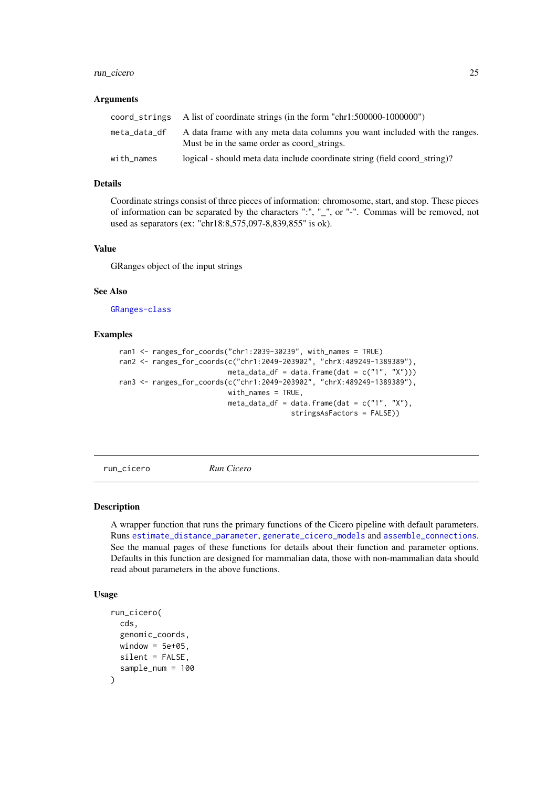#### <span id="page-24-0"></span>run\_cicero 25

#### Arguments

|              | coord_strings A list of coordinate strings (in the form "chr1:500000-1000000")                                            |
|--------------|---------------------------------------------------------------------------------------------------------------------------|
| meta_data_df | A data frame with any meta data columns you want included with the ranges.<br>Must be in the same order as coord strings. |
| with names   | logical - should meta data include coordinate string (field coord string)?                                                |

#### Details

Coordinate strings consist of three pieces of information: chromosome, start, and stop. These pieces of information can be separated by the characters ":", "\_", or "-". Commas will be removed, not used as separators (ex: "chr18:8,575,097-8,839,855" is ok).

#### Value

GRanges object of the input strings

## See Also

[GRanges-class](#page-0-0)

## Examples

```
ran1 <- ranges_for_coords("chr1:2039-30239", with_names = TRUE)
ran2 <- ranges_for_coords(c("chr1:2049-203902", "chrX:489249-1389389"),
                          meta_data_df = data.frame(dat = c("1", "X")))
ran3 <- ranges_for_coords(c("chr1:2049-203902", "chrX:489249-1389389"),
                          with_names = TRUE,
                          meta_data_df = data.frame(dat = c("1", "X"),
                                         stringsAsFactors = FALSE))
```
<span id="page-24-1"></span>run\_cicero *Run Cicero*

#### Description

A wrapper function that runs the primary functions of the Cicero pipeline with default parameters. Runs [estimate\\_distance\\_parameter](#page-9-1), [generate\\_cicero\\_models](#page-13-1) and [assemble\\_connections](#page-4-1). See the manual pages of these functions for details about their function and parameter options. Defaults in this function are designed for mammalian data, those with non-mammalian data should read about parameters in the above functions.

## Usage

```
run_cicero(
 cds,
  genomic_coords,
 window = 5e+05,
 silent = FALSE,
  sample_num = 100
)
```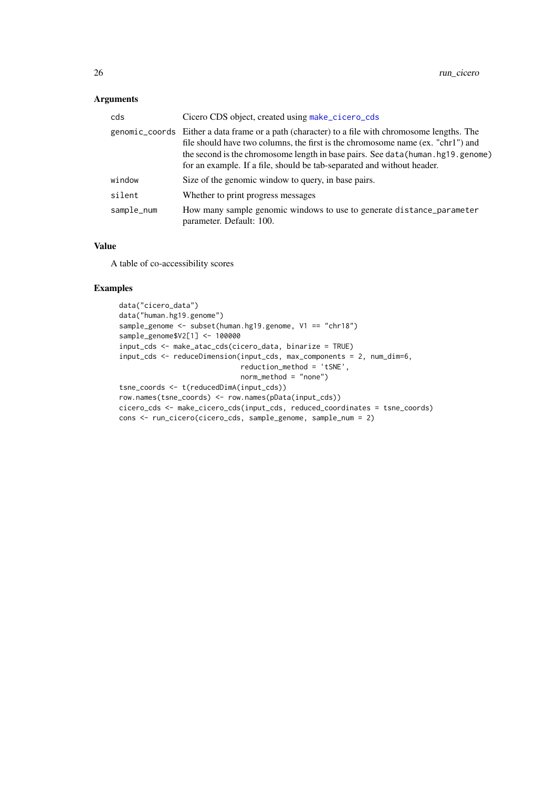## <span id="page-25-0"></span>Arguments

| cds        | Cicero CDS object, created using make_cicero_cds                                                                                                                                                                                                                                                                                                   |
|------------|----------------------------------------------------------------------------------------------------------------------------------------------------------------------------------------------------------------------------------------------------------------------------------------------------------------------------------------------------|
|            | genomic_coords Either a data frame or a path (character) to a file with chromosome lengths. The<br>file should have two columns, the first is the chromosome name (ex. "chr1") and<br>the second is the chromosome length in base pairs. See data (human . hg19. genome)<br>for an example. If a file, should be tab-separated and without header. |
| window     | Size of the genomic window to query, in base pairs.                                                                                                                                                                                                                                                                                                |
| silent     | Whether to print progress messages                                                                                                                                                                                                                                                                                                                 |
| sample_num | How many sample genomic windows to use to generate distance_parameter<br>parameter. Default: 100.                                                                                                                                                                                                                                                  |
|            |                                                                                                                                                                                                                                                                                                                                                    |

## Value

A table of co-accessibility scores

## Examples

```
data("cicero_data")
data("human.hg19.genome")
sample_genome <- subset(human.hg19.genome, V1 == "chr18")
sample_genome$V2[1] <- 100000
input_cds <- make_atac_cds(cicero_data, binarize = TRUE)
input_cds <- reduceDimension(input_cds, max_components = 2, num_dim=6,
                             reduction_method = 'tSNE',
                             norm_method = "none")
tsne_coords <- t(reducedDimA(input_cds))
row.names(tsne_coords) <- row.names(pData(input_cds))
cicero_cds <- make_cicero_cds(input_cds, reduced_coordinates = tsne_coords)
cons <- run_cicero(cicero_cds, sample_genome, sample_num = 2)
```